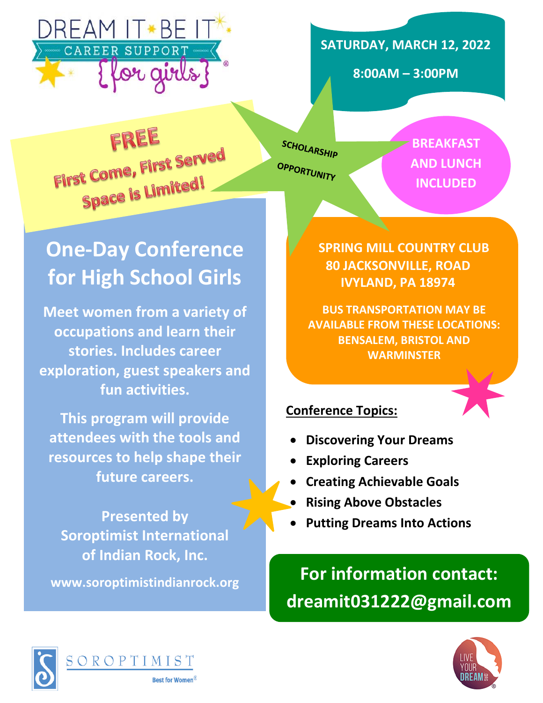

**SATURDAY, MARCH 12, 2022**

**8:00AM – 3:00PM**

FREE First Come, First Served t Come, ...<br>Space is Limited!

SCHOLARSHIP OPPORTUNITY

**BREAKFAST AND LUNCH INCLUDED**

# **One-Day Conference for High School Girls**

**Meet women from a variety of occupations and learn their stories. Includes career exploration, guest speakers and fun activities.**

**This program will provide attendees with the tools and resources to help shape their future careers.**

**Presented by Soroptimist International of Indian Rock, Inc.**

**www.soroptimistindianrock.org**

**SPRING MILL COUNTRY CLUB 80 JACKSONVILLE, ROAD IVYLAND, PA 18974**

**BUS TRANSPORTATION MAY BE AVAILABLE FROM THESE LOCATIONS: BENSALEM, BRISTOL AND WARMINSTER**

### **Conference Topics:**

- **Discovering Your Dreams**
- **Exploring Careers**
- **Creating Achievable Goals**
- **Rising Above Obstacles**
- **Putting Dreams Into Actions**

**For information contact: dreamit031222@gmail.com**



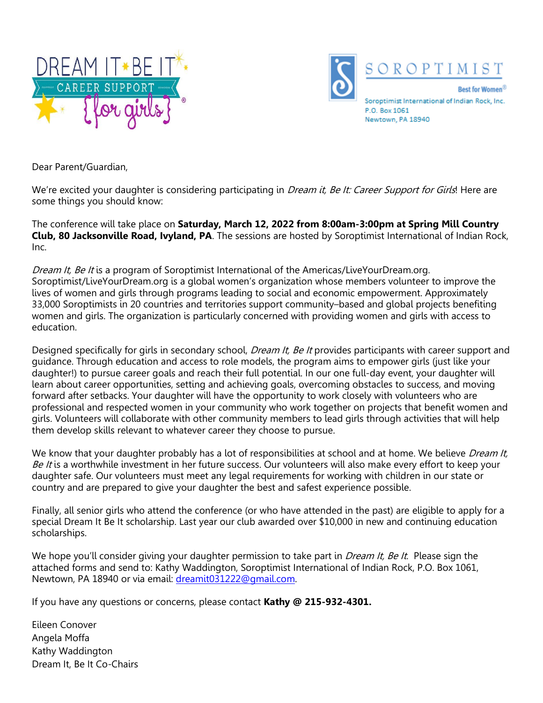



Newtown, PA 18940

Dear Parent/Guardian,

We're excited your daughter is considering participating in *Dream it, Be It: Career Support for Girls*! Here are some things you should know:

The conference will take place on **Saturday, March 12, 2022 from 8:00am-3:00pm at Spring Mill Country Club, 80 Jacksonville Road, Ivyland, PA**. The sessions are hosted by Soroptimist International of Indian Rock,  $Inc$ 

Dream It, Be It is a program of Soroptimist International of the Americas/LiveYourDream.org. Soroptimist/LiveYourDream.org is a global women's organization whose members volunteer to improve the lives of women and girls through programs leading to social and economic empowerment. Approximately 33,000 Soroptimists in 20 countries and territories support community–based and global projects benefiting women and girls. The organization is particularly concerned with providing women and girls with access to education.

Designed specifically for girls in secondary school, *Dream It, Be It* provides participants with career support and guidance. Through education and access to role models, the program aims to empower girls (just like your daughter!) to pursue career goals and reach their full potential. In our one full-day event, your daughter will learn about career opportunities, setting and achieving goals, overcoming obstacles to success, and moving forward after setbacks. Your daughter will have the opportunity to work closely with volunteers who are professional and respected women in your community who work together on projects that benefit women and girls. Volunteers will collaborate with other community members to lead girls through activities that will help them develop skills relevant to whatever career they choose to pursue.

We know that your daughter probably has a lot of responsibilities at school and at home. We believe Dream It, Be It is a worthwhile investment in her future success. Our volunteers will also make every effort to keep your daughter safe. Our volunteers must meet any legal requirements for working with children in our state or country and are prepared to give your daughter the best and safest experience possible.

Finally, all senior girls who attend the conference (or who have attended in the past) are eligible to apply for a special Dream It Be It scholarship. Last year our club awarded over \$10,000 in new and continuing education scholarships.

We hope you'll consider giving your daughter permission to take part in *Dream It, Be It*. Please sign the attached forms and send to: Kathy Waddington, Soroptimist International of Indian Rock, P.O. Box 1061, Newtown, PA 18940 or via email: [dreamit031222@gmail.com.](mailto:dreamit031222@gmail.com)

If you have any questions or concerns, please contact **Kathy @ 215-932-4301.**

Eileen Conover Angela Moffa Kathy Waddington Dream It, Be It Co-Chairs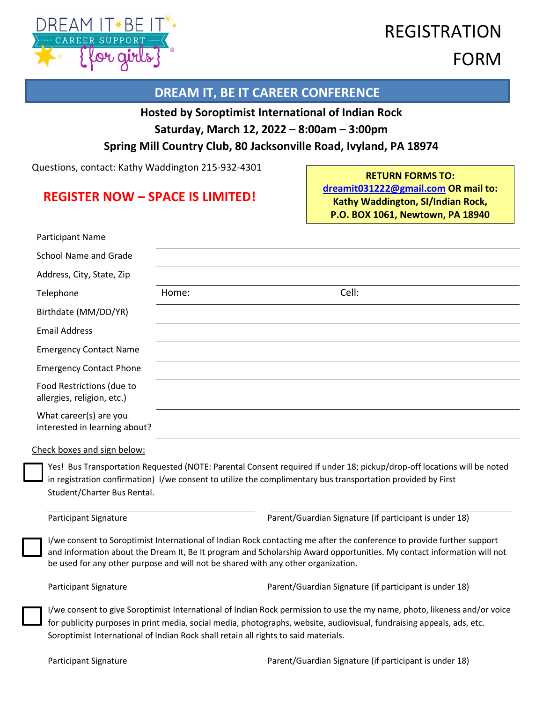

### REGISTRATION FORM

#### **DREAM IT, BE IT CAREER CONFERENCE**

#### **Hosted by Soroptimist International of Indian Rock**

**Saturday, March 12, 2022 – 8:00am – 3:00pm**

#### **Spring Mill Country Club, 80 Jacksonville Road, Ivyland, PA 18974**

Questions, contact: Kathy Waddington 215-932-4301

#### **REGISTER NOW – SPACE IS LIMITED!**

**RETURN FORMS TO: [dreamit031222@gmail.com](mailto:dreamit031222@gmail.com) OR mail to: Kathy Waddington, SI/Indian Rock, P.O. BOX 1061, Newtown, PA 18940**

| <b>Participant Name</b>                                 |                                                                                   |                                                                                                                                                                                                                                                  |
|---------------------------------------------------------|-----------------------------------------------------------------------------------|--------------------------------------------------------------------------------------------------------------------------------------------------------------------------------------------------------------------------------------------------|
| <b>School Name and Grade</b>                            |                                                                                   |                                                                                                                                                                                                                                                  |
| Address, City, State, Zip                               |                                                                                   |                                                                                                                                                                                                                                                  |
| Telephone                                               | Home:                                                                             | Cell:                                                                                                                                                                                                                                            |
| Birthdate (MM/DD/YR)                                    |                                                                                   |                                                                                                                                                                                                                                                  |
| <b>Email Address</b>                                    |                                                                                   |                                                                                                                                                                                                                                                  |
| <b>Emergency Contact Name</b>                           |                                                                                   |                                                                                                                                                                                                                                                  |
| <b>Emergency Contact Phone</b>                          |                                                                                   |                                                                                                                                                                                                                                                  |
| Food Restrictions (due to<br>allergies, religion, etc.) |                                                                                   |                                                                                                                                                                                                                                                  |
| What career(s) are you<br>interested in learning about? |                                                                                   |                                                                                                                                                                                                                                                  |
| Check boxes and sign below:                             |                                                                                   |                                                                                                                                                                                                                                                  |
| Student/Charter Bus Rental.                             |                                                                                   | Yes! Bus Transportation Requested (NOTE: Parental Consent required if under 18; pickup/drop-off locations will be noted<br>in registration confirmation) I/we consent to utilize the complimentary bus transportation provided by First          |
| Participant Signature                                   |                                                                                   | Parent/Guardian Signature (if participant is under 18)                                                                                                                                                                                           |
|                                                         | be used for any other purpose and will not be shared with any other organization. | I/we consent to Soroptimist International of Indian Rock contacting me after the conference to provide further support<br>and information about the Dream It, Be It program and Scholarship Award opportunities. My contact information will not |
| Participant Signature                                   |                                                                                   | Parent/Guardian Signature (if participant is under 18)                                                                                                                                                                                           |
|                                                         |                                                                                   | I/we consent to give Soroptimist International of Indian Rock permission to use the my name, photo, likeness and/or voice                                                                                                                        |
|                                                         |                                                                                   | for publicity purposes in print media, social media, photographs, website, audiovisual, fundraising appeals, ads, etc.                                                                                                                           |

Soroptimist International of Indian Rock shall retain all rights to said materials.